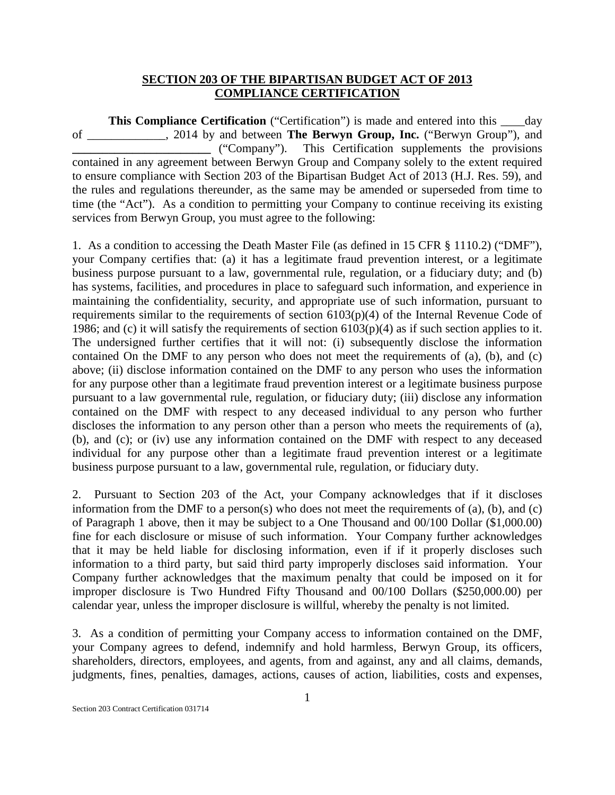## **SECTION 203 OF THE BIPARTISAN BUDGET ACT OF 2013 COMPLIANCE CERTIFICATION**

**This Compliance Certification** ("Certification") is made and entered into this \_\_\_\_day of \_\_\_\_\_\_\_\_\_\_\_\_\_, 2014 by and between **The Berwyn Group, Inc.** ("Berwyn Group"), and **\_\_\_\_\_\_\_\_\_\_\_\_\_\_\_\_\_\_\_\_\_\_\_** ("Company"). This Certification supplements the provisions contained in any agreement between Berwyn Group and Company solely to the extent required to ensure compliance with Section 203 of the Bipartisan Budget Act of 2013 (H.J. Res. 59), and the rules and regulations thereunder, as the same may be amended or superseded from time to time (the "Act"). As a condition to permitting your Company to continue receiving its existing services from Berwyn Group, you must agree to the following:

1. As a condition to accessing the Death Master File (as defined in 15 CFR § 1110.2) ("DMF"), your Company certifies that: (a) it has a legitimate fraud prevention interest, or a legitimate business purpose pursuant to a law, governmental rule, regulation, or a fiduciary duty; and (b) has systems, facilities, and procedures in place to safeguard such information, and experience in maintaining the confidentiality, security, and appropriate use of such information, pursuant to requirements similar to the requirements of section 6103(p)(4) of the Internal Revenue Code of 1986; and (c) it will satisfy the requirements of section  $6103(p)(4)$  as if such section applies to it. The undersigned further certifies that it will not: (i) subsequently disclose the information contained On the DMF to any person who does not meet the requirements of (a), (b), and (c) above; (ii) disclose information contained on the DMF to any person who uses the information for any purpose other than a legitimate fraud prevention interest or a legitimate business purpose pursuant to a law governmental rule, regulation, or fiduciary duty; (iii) disclose any information contained on the DMF with respect to any deceased individual to any person who further discloses the information to any person other than a person who meets the requirements of (a), (b), and (c); or (iv) use any information contained on the DMF with respect to any deceased individual for any purpose other than a legitimate fraud prevention interest or a legitimate business purpose pursuant to a law, governmental rule, regulation, or fiduciary duty.

2. Pursuant to Section 203 of the Act, your Company acknowledges that if it discloses information from the DMF to a person(s) who does not meet the requirements of (a), (b), and (c) of Paragraph 1 above, then it may be subject to a One Thousand and 00/100 Dollar (\$1,000.00) fine for each disclosure or misuse of such information. Your Company further acknowledges that it may be held liable for disclosing information, even if if it properly discloses such information to a third party, but said third party improperly discloses said information. Your Company further acknowledges that the maximum penalty that could be imposed on it for improper disclosure is Two Hundred Fifty Thousand and 00/100 Dollars (\$250,000.00) per calendar year, unless the improper disclosure is willful, whereby the penalty is not limited.

3. As a condition of permitting your Company access to information contained on the DMF, your Company agrees to defend, indemnify and hold harmless, Berwyn Group, its officers, shareholders, directors, employees, and agents, from and against, any and all claims, demands, judgments, fines, penalties, damages, actions, causes of action, liabilities, costs and expenses,